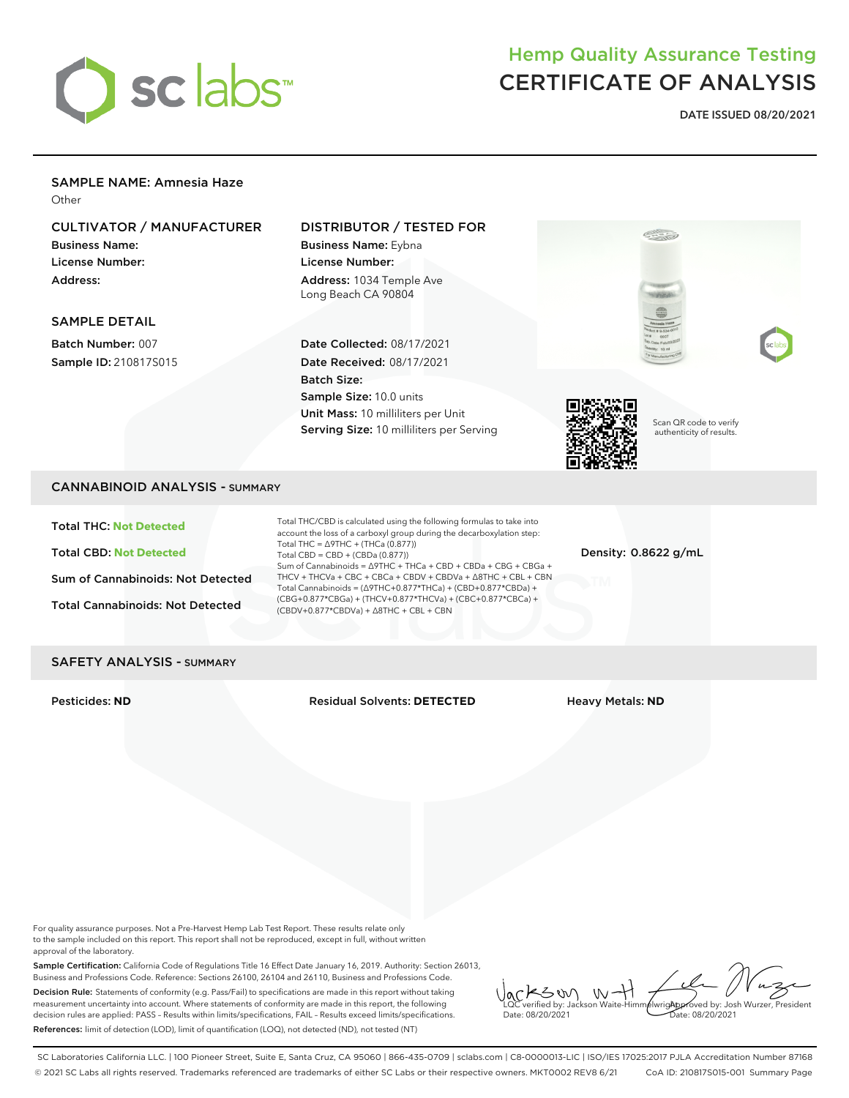

# Hemp Quality Assurance Testing CERTIFICATE OF ANALYSIS

**DATE ISSUED 08/20/2021**

#### SAMPLE NAME: Amnesia Haze **Other**

| <b>CULTIVATOR / MANUFACTURER</b><br><b>Business Name:</b><br>License Number:<br>Address:                                                         | DISTRIBUTOR / TESTED FOR<br><b>Business Name:</b> Eybna<br>License Number:<br>Address: 1034 Temple Ave<br>Long Beach CA 90804                                                                                                                                                                                                                                                                                                                                                                                                                                                       |                                                              |  |  |  |  |
|--------------------------------------------------------------------------------------------------------------------------------------------------|-------------------------------------------------------------------------------------------------------------------------------------------------------------------------------------------------------------------------------------------------------------------------------------------------------------------------------------------------------------------------------------------------------------------------------------------------------------------------------------------------------------------------------------------------------------------------------------|--------------------------------------------------------------|--|--|--|--|
| <b>SAMPLE DETAIL</b>                                                                                                                             |                                                                                                                                                                                                                                                                                                                                                                                                                                                                                                                                                                                     | $6u$ ct # $9.534$                                            |  |  |  |  |
| Batch Number: 007<br><b>Sample ID: 2108175015</b>                                                                                                | Date Collected: 08/17/2021<br><b>Date Received: 08/17/2021</b><br><b>Batch Size:</b><br>Sample Size: 10.0 units<br>Unit Mass: 10 milliliters per Unit<br>Serving Size: 10 milliliters per Serving                                                                                                                                                                                                                                                                                                                                                                                   | sclabs<br>Scan QR code to verify<br>authenticity of results. |  |  |  |  |
| <b>CANNABINOID ANALYSIS - SUMMARY</b>                                                                                                            |                                                                                                                                                                                                                                                                                                                                                                                                                                                                                                                                                                                     |                                                              |  |  |  |  |
| <b>Total THC: Not Detected</b><br><b>Total CBD: Not Detected</b><br>Sum of Cannabinoids: Not Detected<br><b>Total Cannabinoids: Not Detected</b> | Total THC/CBD is calculated using the following formulas to take into<br>account the loss of a carboxyl group during the decarboxylation step:<br>Total THC = $\triangle$ 9THC + (THCa (0.877))<br>Total CBD = CBD + (CBDa (0.877))<br>Sum of Cannabinoids = $\triangle$ 9THC + THCa + CBD + CBDa + CBG + CBGa +<br>THCV + THCVa + CBC + CBCa + CBDV + CBDVa + $\triangle$ 8THC + CBL + CBN<br>Total Cannabinoids = $(\Delta$ 9THC+0.877*THCa) + (CBD+0.877*CBDa) +<br>(CBG+0.877*CBGa) + (THCV+0.877*THCVa) + (CBC+0.877*CBCa) +<br>$(CBDV+0.877*CBDVa) + \Delta 8THC + CBL + CBN$ | Density: 0.8622 g/mL                                         |  |  |  |  |

#### SAFETY ANALYSIS - SUMMARY

Pesticides: **ND** Residual Solvents: **DETECTED** Heavy Metals: **ND**

For quality assurance purposes. Not a Pre-Harvest Hemp Lab Test Report. These results relate only to the sample included on this report. This report shall not be reproduced, except in full, without written approval of the laboratory.

Sample Certification: California Code of Regulations Title 16 Effect Date January 16, 2019. Authority: Section 26013, Business and Professions Code. Reference: Sections 26100, 26104 and 26110, Business and Professions Code. Decision Rule: Statements of conformity (e.g. Pass/Fail) to specifications are made in this report without taking measurement uncertainty into account. Where statements of conformity are made in this report, the following decision rules are applied: PASS – Results within limits/specifications, FAIL – Results exceed limits/specifications. References: limit of detection (LOD), limit of quantification (LOQ), not detected (ND), not tested (NT)

 $W + 1$ KSW Approved by: Josh Wurzer, President LQC verified by: Jackson Waite-Himmelwright Date: 08/20/2021 proved by: 383

SC Laboratories California LLC. | 100 Pioneer Street, Suite E, Santa Cruz, CA 95060 | 866-435-0709 | sclabs.com | C8-0000013-LIC | ISO/IES 17025:2017 PJLA Accreditation Number 87168 © 2021 SC Labs all rights reserved. Trademarks referenced are trademarks of either SC Labs or their respective owners. MKT0002 REV8 6/21 CoA ID: 210817S015-001 Summary Page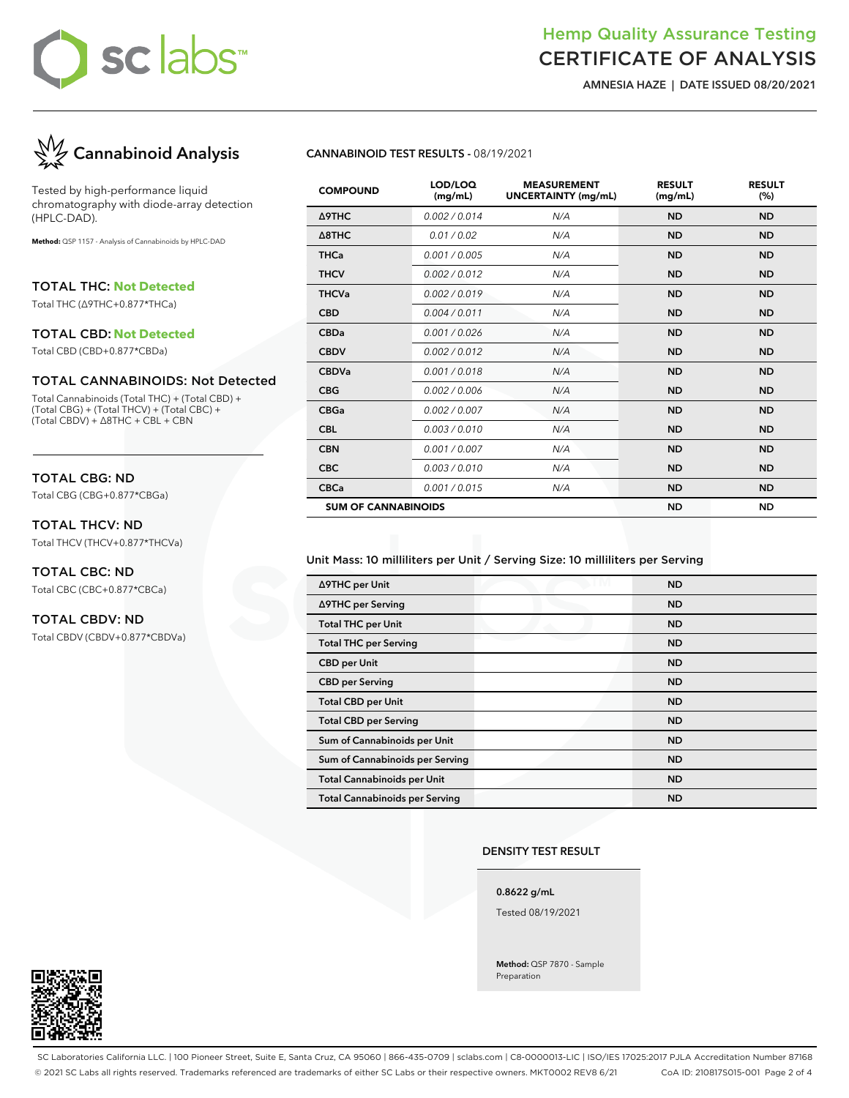# sclabs™

## Hemp Quality Assurance Testing CERTIFICATE OF ANALYSIS

**AMNESIA HAZE | DATE ISSUED 08/20/2021**



Tested by high-performance liquid chromatography with diode-array detection (HPLC-DAD).

**Method:** QSP 1157 - Analysis of Cannabinoids by HPLC-DAD

TOTAL THC: **Not Detected**

Total THC (∆9THC+0.877\*THCa)

#### TOTAL CBD: **Not Detected**

Total CBD (CBD+0.877\*CBDa)

## TOTAL CANNABINOIDS: Not Detected

Total Cannabinoids (Total THC) + (Total CBD) + (Total CBG) + (Total THCV) + (Total CBC) + (Total CBDV) + ∆8THC + CBL + CBN

## TOTAL CBG: ND

Total CBG (CBG+0.877\*CBGa)

## TOTAL THCV: ND

Total THCV (THCV+0.877\*THCVa)

## TOTAL CBC: ND Total CBC (CBC+0.877\*CBCa)

### TOTAL CBDV: ND

Total CBDV (CBDV+0.877\*CBDVa)

#### **CANNABINOID TEST RESULTS -** 08/19/2021

| <b>COMPOUND</b>            | LOD/LOQ<br>(mg/mL) | <b>MEASUREMENT</b><br><b>UNCERTAINTY (mg/mL)</b> | <b>RESULT</b><br>(mg/mL) | <b>RESULT</b><br>(%) |
|----------------------------|--------------------|--------------------------------------------------|--------------------------|----------------------|
| Δ9THC                      | 0.002 / 0.014      | N/A                                              | <b>ND</b>                | <b>ND</b>            |
| $\triangle$ 8THC           | 0.01/0.02          | N/A                                              | <b>ND</b>                | <b>ND</b>            |
| <b>THCa</b>                | 0.001 / 0.005      | N/A                                              | <b>ND</b>                | <b>ND</b>            |
| <b>THCV</b>                | 0.002/0.012        | N/A                                              | <b>ND</b>                | <b>ND</b>            |
| <b>THCVa</b>               | 0.002/0.019        | N/A                                              | <b>ND</b>                | <b>ND</b>            |
| <b>CBD</b>                 | 0.004 / 0.011      | N/A                                              | <b>ND</b>                | <b>ND</b>            |
| <b>CBDa</b>                | 0.001 / 0.026      | N/A                                              | <b>ND</b>                | <b>ND</b>            |
| <b>CBDV</b>                | 0.002 / 0.012      | N/A                                              | <b>ND</b>                | <b>ND</b>            |
| <b>CBDVa</b>               | 0.001 / 0.018      | N/A                                              | <b>ND</b>                | <b>ND</b>            |
| <b>CBG</b>                 | 0.002 / 0.006      | N/A                                              | <b>ND</b>                | <b>ND</b>            |
| <b>CBGa</b>                | 0.002 / 0.007      | N/A                                              | <b>ND</b>                | <b>ND</b>            |
| <b>CBL</b>                 | 0.003/0.010        | N/A                                              | <b>ND</b>                | <b>ND</b>            |
| <b>CBN</b>                 | 0.001 / 0.007      | N/A                                              | <b>ND</b>                | <b>ND</b>            |
| <b>CBC</b>                 | 0.003/0.010        | N/A                                              | <b>ND</b>                | <b>ND</b>            |
| <b>CBCa</b>                | 0.001 / 0.015      | N/A                                              | <b>ND</b>                | <b>ND</b>            |
| <b>SUM OF CANNABINOIDS</b> |                    |                                                  | <b>ND</b>                | <b>ND</b>            |

#### Unit Mass: 10 milliliters per Unit / Serving Size: 10 milliliters per Serving

| ∆9THC per Unit                        | <b>ND</b> |  |
|---------------------------------------|-----------|--|
| ∆9THC per Serving                     | <b>ND</b> |  |
| <b>Total THC per Unit</b>             | <b>ND</b> |  |
| <b>Total THC per Serving</b>          | <b>ND</b> |  |
| <b>CBD</b> per Unit                   | <b>ND</b> |  |
| <b>CBD per Serving</b>                | <b>ND</b> |  |
| <b>Total CBD per Unit</b>             | <b>ND</b> |  |
| <b>Total CBD per Serving</b>          | <b>ND</b> |  |
| Sum of Cannabinoids per Unit          | <b>ND</b> |  |
| Sum of Cannabinoids per Serving       | <b>ND</b> |  |
| Total Cannabinoids per Unit           | <b>ND</b> |  |
| <b>Total Cannabinoids per Serving</b> | <b>ND</b> |  |

#### **DENSITY TEST RESULT**

**0.8622 g/mL**

Tested 08/19/2021

**Method:** QSP 7870 - Sample Preparation



SC Laboratories California LLC. | 100 Pioneer Street, Suite E, Santa Cruz, CA 95060 | 866-435-0709 | sclabs.com | C8-0000013-LIC | ISO/IES 17025:2017 PJLA Accreditation Number 87168 © 2021 SC Labs all rights reserved. Trademarks referenced are trademarks of either SC Labs or their respective owners. MKT0002 REV8 6/21 CoA ID: 210817S015-001 Page 2 of 4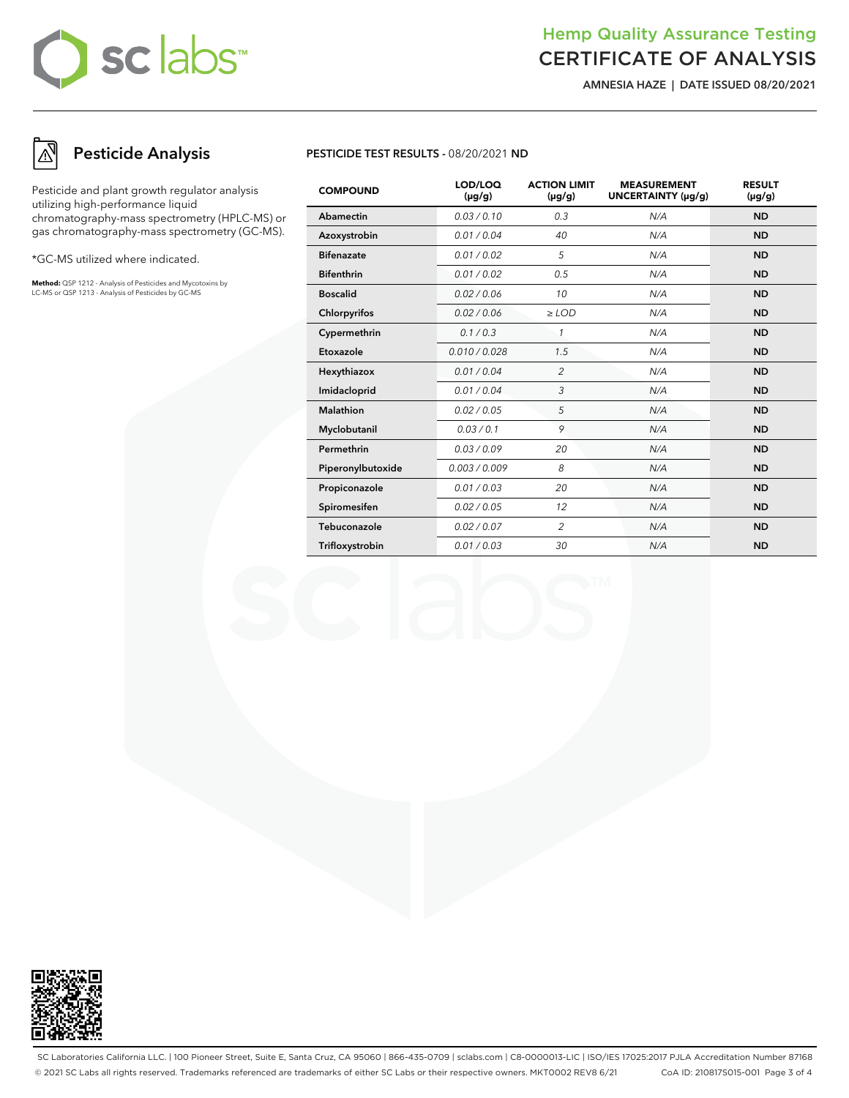# sclabs™

# Hemp Quality Assurance Testing CERTIFICATE OF ANALYSIS

**AMNESIA HAZE | DATE ISSUED 08/20/2021**

# **Pesticide Analysis**

Pesticide and plant growth regulator analysis utilizing high-performance liquid chromatography-mass spectrometry (HPLC-MS) or gas chromatography-mass spectrometry (GC-MS).

\*GC-MS utilized where indicated.

**Method:** QSP 1212 - Analysis of Pesticides and Mycotoxins by LC-MS or QSP 1213 - Analysis of Pesticides by GC-MS

## **PESTICIDE TEST RESULTS -** 08/20/2021 **ND**

| <b>COMPOUND</b>   | LOD/LOQ<br>$(\mu g/g)$ | <b>ACTION LIMIT</b><br>$(\mu g/g)$ | <b>MEASUREMENT</b><br>UNCERTAINTY (µg/g) | <b>RESULT</b><br>$(\mu g/g)$ |
|-------------------|------------------------|------------------------------------|------------------------------------------|------------------------------|
| Abamectin         | 0.03/0.10              | 0.3                                | N/A                                      | <b>ND</b>                    |
| Azoxystrobin      | 0.01 / 0.04            | 40                                 | N/A                                      | <b>ND</b>                    |
| <b>Bifenazate</b> | 0.01 / 0.02            | 5                                  | N/A                                      | <b>ND</b>                    |
| <b>Bifenthrin</b> | 0.01 / 0.02            | 0.5                                | N/A                                      | <b>ND</b>                    |
| <b>Boscalid</b>   | 0.02 / 0.06            | 10                                 | N/A                                      | <b>ND</b>                    |
| Chlorpyrifos      | 0.02 / 0.06            | $\ge$ LOD                          | N/A                                      | <b>ND</b>                    |
| Cypermethrin      | 0.1 / 0.3              | 1                                  | N/A                                      | <b>ND</b>                    |
| Etoxazole         | 0.010 / 0.028          | 1.5                                | N/A                                      | <b>ND</b>                    |
| Hexythiazox       | 0.01 / 0.04            | $\overline{2}$                     | N/A                                      | <b>ND</b>                    |
| Imidacloprid      | 0.01 / 0.04            | 3                                  | N/A                                      | <b>ND</b>                    |
| <b>Malathion</b>  | 0.02 / 0.05            | 5                                  | N/A                                      | <b>ND</b>                    |
| Myclobutanil      | 0.03/0.1               | 9                                  | N/A                                      | <b>ND</b>                    |
| Permethrin        | 0.03 / 0.09            | 20                                 | N/A                                      | <b>ND</b>                    |
| Piperonylbutoxide | 0.003 / 0.009          | 8                                  | N/A                                      | <b>ND</b>                    |
| Propiconazole     | 0.01 / 0.03            | 20                                 | N/A                                      | <b>ND</b>                    |
| Spiromesifen      | 0.02 / 0.05            | 12                                 | N/A                                      | <b>ND</b>                    |
| Tebuconazole      | 0.02 / 0.07            | $\overline{2}$                     | N/A                                      | <b>ND</b>                    |
| Trifloxystrobin   | 0.01 / 0.03            | 30                                 | N/A                                      | <b>ND</b>                    |



SC Laboratories California LLC. | 100 Pioneer Street, Suite E, Santa Cruz, CA 95060 | 866-435-0709 | sclabs.com | C8-0000013-LIC | ISO/IES 17025:2017 PJLA Accreditation Number 87168 © 2021 SC Labs all rights reserved. Trademarks referenced are trademarks of either SC Labs or their respective owners. MKT0002 REV8 6/21 CoA ID: 210817S015-001 Page 3 of 4